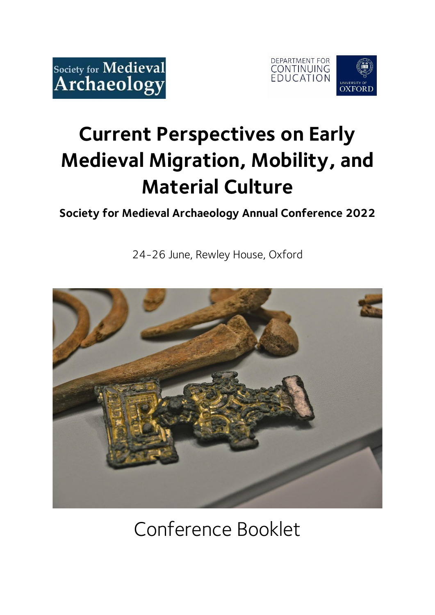



# **Current Perspectives on Early Medieval Migration, Mobility, and Material Culture**

### **Society for Medieval Archaeology Annual Conference 2022**

24-26 June, Rewley House, Oxford



## Conference Booklet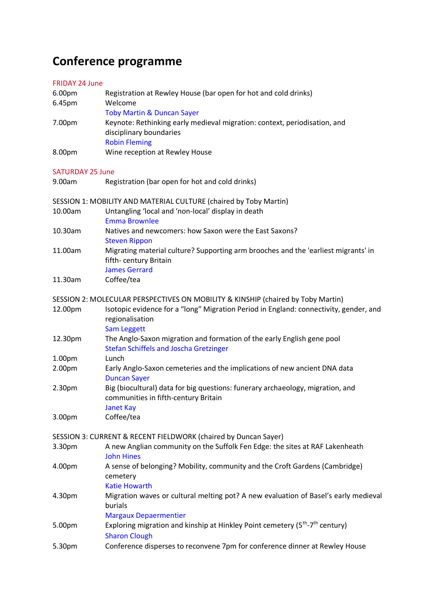### **Conference programme**

### FRIDAY 24 June

| 6.00pm                  | Registration at Rewley House (bar open for hot and cold drinks)                                                                            |
|-------------------------|--------------------------------------------------------------------------------------------------------------------------------------------|
| 6.45pm                  | Welcome                                                                                                                                    |
|                         | <b>Toby Martin &amp; Duncan Sayer</b>                                                                                                      |
| 7.00pm                  | Keynote: Rethinking early medieval migration: context, periodisation, and<br>disciplinary boundaries                                       |
|                         | <b>Robin Fleming</b>                                                                                                                       |
| 8.00pm                  | Wine reception at Rewley House                                                                                                             |
| <b>SATURDAY 25 June</b> |                                                                                                                                            |
| 9.00am                  | Registration (bar open for hot and cold drinks)                                                                                            |
|                         | SESSION 1: MOBILITY AND MATERIAL CULTURE (chaired by Toby Martin)                                                                          |
| 10.00am                 | Untangling 'local and 'non-local' display in death<br><b>Emma Brownlee</b>                                                                 |
| 10.30am                 | Natives and newcomers: how Saxon were the East Saxons?<br><b>Steven Rippon</b>                                                             |
| 11.00am                 | Migrating material culture? Supporting arm brooches and the 'earliest migrants' in<br>fifth-century Britain<br><b>James Gerrard</b>        |
| 11.30am                 | Coffee/tea                                                                                                                                 |
|                         | SESSION 2: MOLECULAR PERSPECTIVES ON MOBILITY & KINSHIP (chaired by Toby Martin)                                                           |
| 12.00pm                 | Isotopic evidence for a "long" Migration Period in England: connectivity, gender, and<br>regionalisation<br><b>Sam Leggett</b>             |
| 12.30pm                 | The Anglo-Saxon migration and formation of the early English gene pool<br><b>Stefan Schiffels and Joscha Gretzinger</b>                    |
| 1.00pm                  | Lunch                                                                                                                                      |
| 2.00pm                  | Early Anglo-Saxon cemeteries and the implications of new ancient DNA data<br><b>Duncan Sayer</b>                                           |
| 2.30pm                  | Big (biocultural) data for big questions: funerary archaeology, migration, and<br>communities in fifth-century Britain<br><b>Janet Kay</b> |
| 3.00pm                  | Coffee/tea                                                                                                                                 |
|                         | SESSION 3: CURRENT & RECENT FIELDWORK (chaired by Duncan Sayer)                                                                            |
| 3.30pm                  | A new Anglian community on the Suffolk Fen Edge: the sites at RAF Lakenheath<br><b>John Hines</b>                                          |
| 4.00pm                  | A sense of belonging? Mobility, community and the Croft Gardens (Cambridge)<br>cemetery<br><b>Katie Howarth</b>                            |
| 4.30pm                  | Migration waves or cultural melting pot? A new evaluation of Basel's early medieval<br>burials<br><b>Margaux Depaermentier</b>             |
| 5.00pm                  | Exploring migration and kinship at Hinkley Point cemetery (5 <sup>th</sup> -7 <sup>th</sup> century)<br><b>Sharon Clough</b>               |
| 5.30pm                  | Conference disperses to reconvene 7pm for conference dinner at Rewley House                                                                |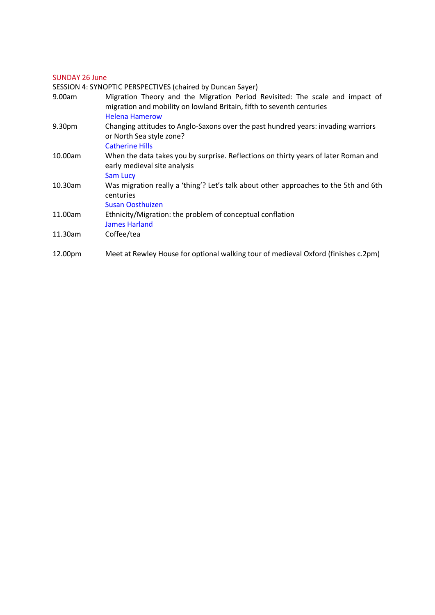### SUNDAY 26 June

SESSION 4: SYNOPTIC PERSPECTIVES (chaired by Duncan Sayer)

| 9.00am  | Migration Theory and the Migration Period Revisited: The scale and impact of<br>migration and mobility on lowland Britain, fifth to seventh centuries<br><b>Helena Hamerow</b> |
|---------|--------------------------------------------------------------------------------------------------------------------------------------------------------------------------------|
| 9.30pm  | Changing attitudes to Anglo-Saxons over the past hundred years: invading warriors<br>or North Sea style zone?<br><b>Catherine Hills</b>                                        |
| 10.00am | When the data takes you by surprise. Reflections on thirty years of later Roman and<br>early medieval site analysis<br><b>Sam Lucy</b>                                         |
| 10.30am | Was migration really a 'thing'? Let's talk about other approaches to the 5th and 6th<br>centuries<br>Susan Oosthuizen                                                          |
| 11.00am | Ethnicity/Migration: the problem of conceptual conflation<br><b>James Harland</b>                                                                                              |
| 11.30am | Coffee/tea                                                                                                                                                                     |
| 12.00pm | Meet at Rewley House for optional walking tour of medieval Oxford (finishes c.2pm)                                                                                             |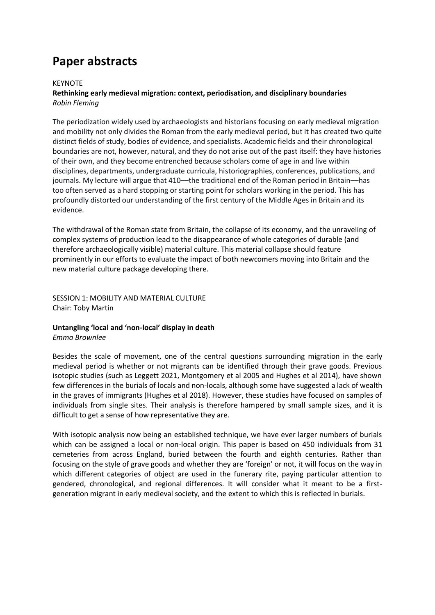### **Paper abstracts**

#### KEYNOTE

### **Rethinking early medieval migration: context, periodisation, and disciplinary boundaries** *Robin Fleming*

The periodization widely used by archaeologists and historians focusing on early medieval migration and mobility not only divides the Roman from the early medieval period, but it has created two quite distinct fields of study, bodies of evidence, and specialists. Academic fields and their chronological boundaries are not, however, natural, and they do not arise out of the past itself: they have histories of their own, and they become entrenched because scholars come of age in and live within disciplines, departments, undergraduate curricula, historiographies, conferences, publications, and journals. My lecture will argue that 410-the traditional end of the Roman period in Britain-has too often served as a hard stopping or starting point for scholars working in the period. This has profoundly distorted our understanding of the first century of the Middle Ages in Britain and its evidence.

The withdrawal of the Roman state from Britain, the collapse of its economy, and the unraveling of complex systems of production lead to the disappearance of whole categories of durable (and therefore archaeologically visible) material culture. This material collapse should feature prominently in our efforts to evaluate the impact of both newcomers moving into Britain and the new material culture package developing there.

SESSION 1: MOBILITY AND MATERIAL CULTURE Chair: Toby Martin

### **Untangling 'local and 'non-local' display in death** *Emma Brownlee*

Besides the scale of movement, one of the central questions surrounding migration in the early medieval period is whether or not migrants can be identified through their grave goods. Previous isotopic studies (such as Leggett 2021, Montgomery et al 2005 and Hughes et al 2014), have shown few differences in the burials of locals and non-locals, although some have suggested a lack of wealth in the graves of immigrants (Hughes et al 2018). However, these studies have focused on samples of individuals from single sites. Their analysis is therefore hampered by small sample sizes, and it is difficult to get a sense of how representative they are.

With isotopic analysis now being an established technique, we have ever larger numbers of burials which can be assigned a local or non-local origin. This paper is based on 450 individuals from 31 cemeteries from across England, buried between the fourth and eighth centuries. Rather than focusing on the style of grave goods and whether they are 'foreign' or not, it will focus on the way in which different categories of object are used in the funerary rite, paying particular attention to gendered, chronological, and regional differences. It will consider what it meant to be a firstgeneration migrant in early medieval society, and the extent to which this is reflected in burials.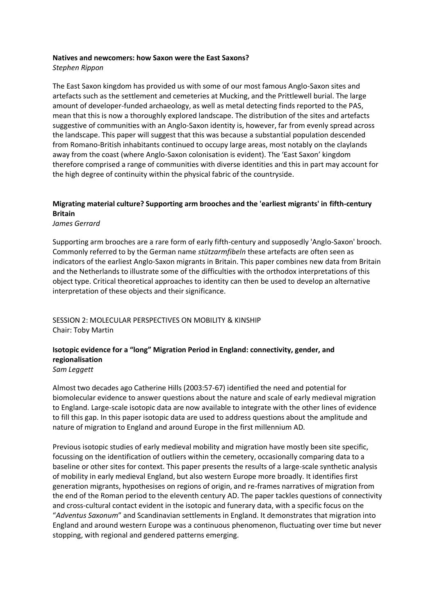#### **Natives and newcomers: how Saxon were the East Saxons?**

*Stephen Rippon*

The East Saxon kingdom has provided us with some of our most famous Anglo-Saxon sites and artefacts such as the settlement and cemeteries at Mucking, and the Prittlewell burial. The large amount of developer-funded archaeology, as well as metal detecting finds reported to the PAS, mean that this is now a thoroughly explored landscape. The distribution of the sites and artefacts suggestive of communities with an Anglo-Saxon identity is, however, far from evenly spread across the landscape. This paper will suggest that this was because a substantial population descended from Romano-British inhabitants continued to occupy large areas, most notably on the claylands away from the coast (where Anglo-Saxon colonisation is evident). The 'East Saxon' kingdom therefore comprised a range of communities with diverse identities and this in part may account for the high degree of continuity within the physical fabric of the countryside.

### **Migrating material culture? Supporting arm brooches and the 'earliest migrants' in fifth-century Britain**

*James Gerrard*

Supporting arm brooches are a rare form of early fifth-century and supposedly 'Anglo-Saxon' brooch. Commonly referred to by the German name *stützarmfibeln* these artefacts are often seen as indicators of the earliest Anglo-Saxon migrants in Britain. This paper combines new data from Britain and the Netherlands to illustrate some of the difficulties with the orthodox interpretations of this object type. Critical theoretical approaches to identity can then be used to develop an alternative interpretation of these objects and their significance.

SESSION 2: MOLECULAR PERSPECTIVES ON MOBILITY & KINSHIP Chair: Toby Martin

### **Isotopic evidence for a "long" Migration Period in England: connectivity, gender, and regionalisation** *Sam Leggett*

Almost two decades ago Catherine Hills (2003:57-67) identified the need and potential for biomolecular evidence to answer questions about the nature and scale of early medieval migration to England. Large-scale isotopic data are now available to integrate with the other lines of evidence to fill this gap. In this paper isotopic data are used to address questions about the amplitude and nature of migration to England and around Europe in the first millennium AD.

Previous isotopic studies of early medieval mobility and migration have mostly been site specific, focussing on the identification of outliers within the cemetery, occasionally comparing data to a baseline or other sites for context. This paper presents the results of a large-scale synthetic analysis of mobility in early medieval England, but also western Europe more broadly. It identifies first generation migrants, hypothesises on regions of origin, and re-frames narratives of migration from the end of the Roman period to the eleventh century AD. The paper tackles questions of connectivity and cross-cultural contact evident in the isotopic and funerary data, with a specific focus on the "*Adventus Saxonum*" and Scandinavian settlements in England. It demonstrates that migration into England and around western Europe was a continuous phenomenon, fluctuating over time but never stopping, with regional and gendered patterns emerging.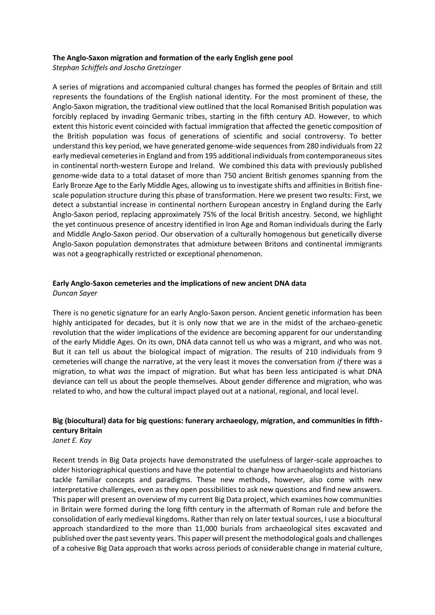#### **The Anglo-Saxon migration and formation of the early English gene pool**

*Stephan Schiffels and Joscha Gretzinger*

A series of migrations and accompanied cultural changes has formed the peoples of Britain and still represents the foundations of the English national identity. For the most prominent of these, the Anglo-Saxon migration, the traditional view outlined that the local Romanised British population was forcibly replaced by invading Germanic tribes, starting in the fifth century AD. However, to which extent this historic event coincided with factual immigration that affected the genetic composition of the British population was focus of generations of scientific and social controversy. To better understand this key period, we have generated genome-wide sequences from 280 individuals from 22 early medieval cemeteries in England and from 195 additional individuals from contemporaneous sites in continental north-western Europe and Ireland. We combined this data with previously published genome-wide data to a total dataset of more than 750 ancient British genomes spanning from the Early Bronze Age to the Early Middle Ages, allowing us to investigate shifts and affinities in British finescale population structure during this phase of transformation. Here we present two results: First, we detect a substantial increase in continental northern European ancestry in England during the Early Anglo-Saxon period, replacing approximately 75% of the local British ancestry. Second, we highlight the yet continuous presence of ancestry identified in Iron Age and Roman individuals during the Early and Middle Anglo-Saxon period. Our observation of a culturally homogenous but genetically diverse Anglo-Saxon population demonstrates that admixture between Britons and continental immigrants was not a geographically restricted or exceptional phenomenon.

### **Early Anglo-Saxon cemeteries and the implications of new ancient DNA data**

*Duncan Sayer*

There is no genetic signature for an early Anglo-Saxon person. Ancient genetic information has been highly anticipated for decades, but it is only now that we are in the midst of the archaeo-genetic revolution that the wider implications of the evidence are becoming apparent for our understanding of the early Middle Ages. On its own, DNA data cannot tell us who was a migrant, and who was not. But it can tell us about the biological impact of migration. The results of 210 individuals from 9 cemeteries will change the narrative, at the very least it moves the conversation from *if* there was a migration, to what *was* the impact of migration. But what has been less anticipated is what DNA deviance can tell us about the people themselves. About gender difference and migration, who was related to who, and how the cultural impact played out at a national, regional, and local level.

### **Big (biocultural) data for big questions: funerary archaeology, migration, and communities in fifthcentury Britain**

*Janet E. Kay*

Recent trends in Big Data projects have demonstrated the usefulness of larger-scale approaches to older historiographical questions and have the potential to change how archaeologists and historians tackle familiar concepts and paradigms. These new methods, however, also come with new interpretative challenges, even as they open possibilities to ask new questions and find new answers. This paper will present an overview of my current Big Data project, which examines how communities in Britain were formed during the long fifth century in the aftermath of Roman rule and before the consolidation of early medieval kingdoms. Rather than rely on later textual sources, I use a biocultural approach standardized to the more than 11,000 burials from archaeological sites excavated and published over the past seventy years. This paper will present the methodological goals and challenges of a cohesive Big Data approach that works across periods of considerable change in material culture,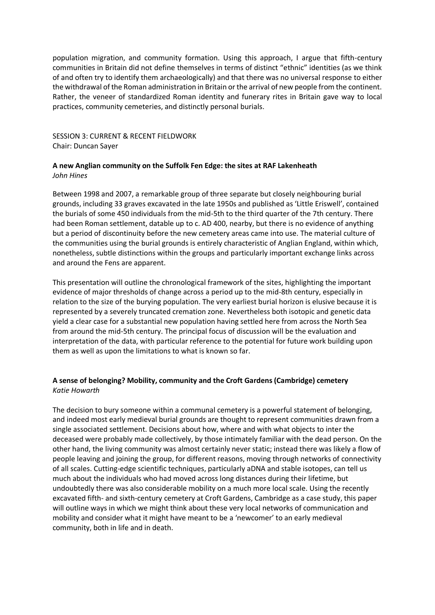population migration, and community formation. Using this approach, I argue that fifth-century communities in Britain did not define themselves in terms of distinct "ethnic" identities (as we think of and often try to identify them archaeologically) and that there was no universal response to either the withdrawal of the Roman administration in Britain or the arrival of new people from the continent. Rather, the veneer of standardized Roman identity and funerary rites in Britain gave way to local practices, community cemeteries, and distinctly personal burials.

SESSION 3: CURRENT & RECENT FIELDWORK Chair: Duncan Sayer

### **A new Anglian community on the Suffolk Fen Edge: the sites at RAF Lakenheath** *John Hines*

Between 1998 and 2007, a remarkable group of three separate but closely neighbouring burial grounds, including 33 graves excavated in the late 1950s and published as 'Little Eriswell', contained the burials of some 450 individuals from the mid-5th to the third quarter of the 7th century. There had been Roman settlement, datable up to c. AD 400, nearby, but there is no evidence of anything but a period of discontinuity before the new cemetery areas came into use. The material culture of the communities using the burial grounds is entirely characteristic of Anglian England, within which, nonetheless, subtle distinctions within the groups and particularly important exchange links across and around the Fens are apparent.

This presentation will outline the chronological framework of the sites, highlighting the important evidence of major thresholds of change across a period up to the mid-8th century, especially in relation to the size of the burying population. The very earliest burial horizon is elusive because it is represented by a severely truncated cremation zone. Nevertheless both isotopic and genetic data yield a clear case for a substantial new population having settled here from across the North Sea from around the mid-5th century. The principal focus of discussion will be the evaluation and interpretation of the data, with particular reference to the potential for future work building upon them as well as upon the limitations to what is known so far.

### **A sense of belonging? Mobility, community and the Croft Gardens (Cambridge) cemetery** *Katie Howarth*

The decision to bury someone within a communal cemetery is a powerful statement of belonging, and indeed most early medieval burial grounds are thought to represent communities drawn from a single associated settlement. Decisions about how, where and with what objects to inter the deceased were probably made collectively, by those intimately familiar with the dead person. On the other hand, the living community was almost certainly never static; instead there was likely a flow of people leaving and joining the group, for different reasons, moving through networks of connectivity of all scales. Cutting-edge scientific techniques, particularly aDNA and stable isotopes, can tell us much about the individuals who had moved across long distances during their lifetime, but undoubtedly there was also considerable mobility on a much more local scale. Using the recently excavated fifth- and sixth-century cemetery at Croft Gardens, Cambridge as a case study, this paper will outline ways in which we might think about these very local networks of communication and mobility and consider what it might have meant to be a 'newcomer' to an early medieval community, both in life and in death.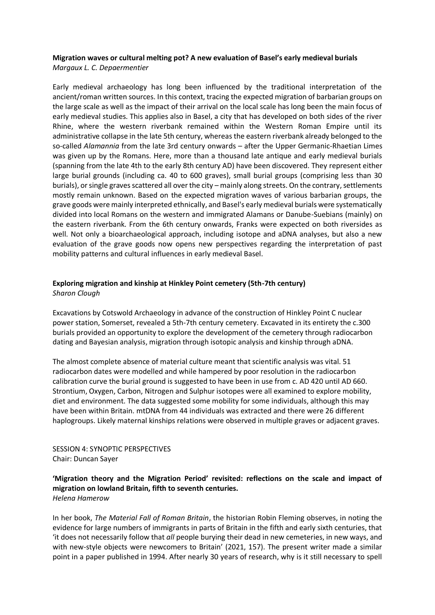### **Migration waves or cultural melting pot? A new evaluation of Basel's early medieval burials**

*Margaux L. C. Depaermentier*

Early medieval archaeology has long been influenced by the traditional interpretation of the ancient/roman written sources. In this context, tracing the expected migration of barbarian groups on the large scale as well as the impact of their arrival on the local scale has long been the main focus of early medieval studies. This applies also in Basel, a city that has developed on both sides of the river Rhine, where the western riverbank remained within the Western Roman Empire until its administrative collapse in the late 5th century, whereas the eastern riverbank already belonged to the so-called *Alamannia* from the late 3rd century onwards – after the Upper Germanic-Rhaetian Limes was given up by the Romans. Here, more than a thousand late antique and early medieval burials (spanning from the late 4th to the early 8th century AD) have been discovered. They represent either large burial grounds (including ca. 40 to 600 graves), small burial groups (comprising less than 30 burials), or single graves scattered all over the city – mainly along streets. On the contrary, settlements mostly remain unknown. Based on the expected migration waves of various barbarian groups, the grave goods were mainly interpreted ethnically, and Basel's early medieval burials were systematically divided into local Romans on the western and immigrated Alamans or Danube-Suebians (mainly) on the eastern riverbank. From the 6th century onwards, Franks were expected on both riversides as well. Not only a bioarchaeological approach, including isotope and aDNA analyses, but also a new evaluation of the grave goods now opens new perspectives regarding the interpretation of past mobility patterns and cultural influences in early medieval Basel.

### **Exploring migration and kinship at Hinkley Point cemetery (5th-7th century)** *Sharon Clough*

Excavations by Cotswold Archaeology in advance of the construction of Hinkley Point C nuclear power station, Somerset, revealed a 5th-7th century cemetery. Excavated in its entirety the c.300 burials provided an opportunity to explore the development of the cemetery through radiocarbon dating and Bayesian analysis, migration through isotopic analysis and kinship through aDNA.

The almost complete absence of material culture meant that scientific analysis was vital. 51 radiocarbon dates were modelled and while hampered by poor resolution in the radiocarbon calibration curve the burial ground is suggested to have been in use from c. AD 420 until AD 660. Strontium, Oxygen, Carbon, Nitrogen and Sulphur isotopes were all examined to explore mobility, diet and environment. The data suggested some mobility for some individuals, although this may have been within Britain. mtDNA from 44 individuals was extracted and there were 26 different haplogroups. Likely maternal kinships relations were observed in multiple graves or adjacent graves.

SESSION 4: SYNOPTIC PERSPECTIVES Chair: Duncan Sayer

### **'Migration theory and the Migration Period' revisited: reflections on the scale and impact of migration on lowland Britain, fifth to seventh centuries.** *Helena Hamerow*

In her book, *The Material Fall of Roman Britain*, the historian Robin Fleming observes, in noting the evidence for large numbers of immigrants in parts of Britain in the fifth and early sixth centuries, that 'it does not necessarily follow that *all* people burying their dead in new cemeteries, in new ways, and with new-style objects were newcomers to Britain' (2021, 157). The present writer made a similar point in a paper published in 1994. After nearly 30 years of research, why is it still necessary to spell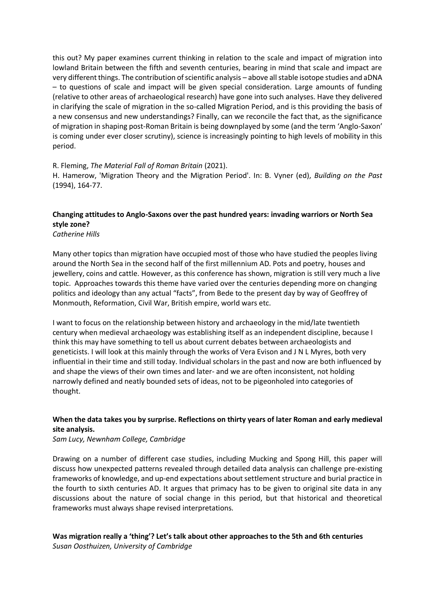this out? My paper examines current thinking in relation to the scale and impact of migration into lowland Britain between the fifth and seventh centuries, bearing in mind that scale and impact are very different things. The contribution of scientific analysis – above all stable isotope studies and aDNA – to questions of scale and impact will be given special consideration. Large amounts of funding (relative to other areas of archaeological research) have gone into such analyses. Have they delivered in clarifying the scale of migration in the so-called Migration Period, and is this providing the basis of a new consensus and new understandings? Finally, can we reconcile the fact that, as the significance of migration in shaping post-Roman Britain is being downplayed by some (and the term 'Anglo-Saxon' is coming under ever closer scrutiny), science is increasingly pointing to high levels of mobility in this period.

### R. Fleming, *The Material Fall of Roman Britain* (2021).

H. Hamerow, 'Migration Theory and the Migration Period'. In: B. Vyner (ed), *Building on the Past* (1994), 164-77.

### **Changing attitudes to Anglo-Saxons over the past hundred years: invading warriors or North Sea style zone?**

*Catherine Hills*

Many other topics than migration have occupied most of those who have studied the peoples living around the North Sea in the second half of the first millennium AD. Pots and poetry, houses and jewellery, coins and cattle. However, as this conference has shown, migration is still very much a live topic. Approaches towards this theme have varied over the centuries depending more on changing politics and ideology than any actual "facts", from Bede to the present day by way of Geoffrey of Monmouth, Reformation, Civil War, British empire, world wars etc.

I want to focus on the relationship between history and archaeology in the mid/late twentieth century when medieval archaeology was establishing itself as an independent discipline, because I think this may have something to tell us about current debates between archaeologists and geneticists. I will look at this mainly through the works of Vera Evison and J N L Myres, both very influential in their time and still today. Individual scholars in the past and now are both influenced by and shape the views of their own times and later- and we are often inconsistent, not holding narrowly defined and neatly bounded sets of ideas, not to be pigeonholed into categories of thought.

### **When the data takes you by surprise. Reflections on thirty years of later Roman and early medieval site analysis.**

*Sam Lucy, Newnham College, Cambridge*

Drawing on a number of different case studies, including Mucking and Spong Hill, this paper will discuss how unexpected patterns revealed through detailed data analysis can challenge pre-existing frameworks of knowledge, and up-end expectations about settlement structure and burial practice in the fourth to sixth centuries AD. It argues that primacy has to be given to original site data in any discussions about the nature of social change in this period, but that historical and theoretical frameworks must always shape revised interpretations.

### **Was migration really a 'thing'? Let's talk about other approaches to the 5th and 6th centuries**

*Susan Oosthuizen, University of Cambridge*